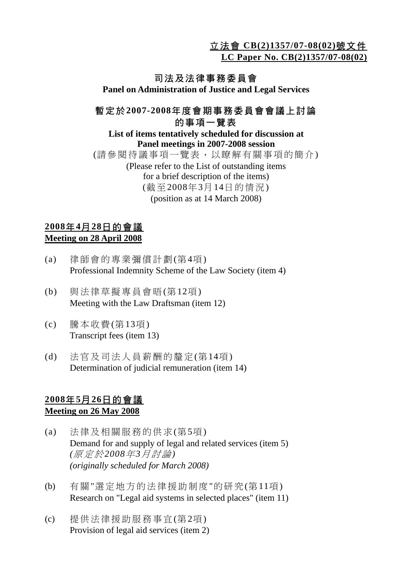立法會 **CB(2)1357/07-08(02)**號文件

**LC Paper No. CB(2)1357/07-08(02)**

## 司法及法律事務委員會

**Panel on Administration of Justice and Legal Services** 

### 暫定於**2007-2008**年度會期事務委員會會議上討論 的事項一覽表

#### **List of items tentatively scheduled for discussion at Panel meetings in 2007-2008 session**  (請參閱待議事項一覽表,以瞭解有關事項的簡介) (Please refer to the List of outstanding items for a brief description of the items) (截至2008年3月14日的情況) (position as at 14 March 2008)

#### **2008**年**4**月**28**日的會議 **Meeting on 28 April 2008**

- (a) 律師會的專業彌償計劃(第4項) Professional Indemnity Scheme of the Law Society (item 4)
- (b) 與法律草擬專員會晤(第12項) Meeting with the Law Draftsman (item 12)
- (c) 騰本收費(第13項) Transcript fees (item 13)
- (d) 法官及司法人員薪酬的釐定(第14項) Determination of judicial remuneration (item 14)

#### **2008**年**5**月**26**日的會議 **Meeting on 26 May 2008**

- (a) 法律及相關服務的供求(第5項) Demand for and supply of legal and related services (item 5)  *(*原定於*2008*年*3*月討論*) (originally scheduled for March 2008)*
- (b) 有關"選定地方的法律援助制度"的研究(第11項) Research on "Legal aid systems in selected places" (item 11)
- (c) 提供法律援助服務事宜(第2項) Provision of legal aid services (item 2)